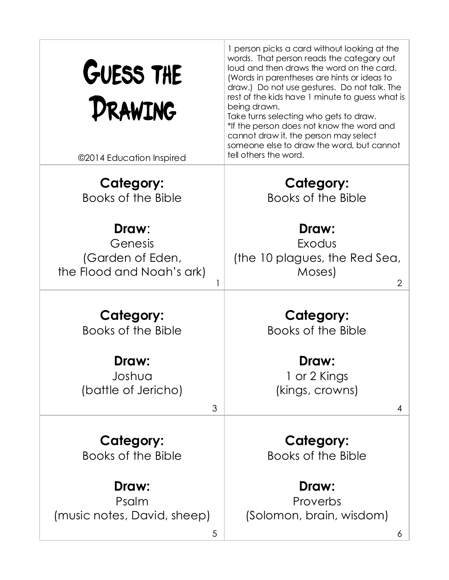| GUESS THE<br>DRAWING<br>©2014 Education Inspired                  | 1 person picks a card without looking at the<br>words. That person reads the category out<br>loud and then draws the word on the card.<br>(Words in parentheses are hints or ideas to<br>draw.) Do not use gestures. Do not talk. The<br>rest of the kids have 1 minute to guess what is<br>being drawn.<br>Take turns selecting who gets to draw.<br>*If the person does not know the word and<br>cannot draw it, the person may select<br>someone else to draw the word, but cannot<br>tell others the word. |
|-------------------------------------------------------------------|----------------------------------------------------------------------------------------------------------------------------------------------------------------------------------------------------------------------------------------------------------------------------------------------------------------------------------------------------------------------------------------------------------------------------------------------------------------------------------------------------------------|
|                                                                   |                                                                                                                                                                                                                                                                                                                                                                                                                                                                                                                |
| <b>Category:</b>                                                  | <b>Category:</b>                                                                                                                                                                                                                                                                                                                                                                                                                                                                                               |
| Books of the Bible                                                | Books of the Bible                                                                                                                                                                                                                                                                                                                                                                                                                                                                                             |
| Draw:<br>Genesis<br>(Garden of Eden,<br>the Flood and Noah's ark) | Draw:<br>Exodus<br>(the 10 plagues, the Red Sea,<br>Moses)<br>2                                                                                                                                                                                                                                                                                                                                                                                                                                                |
|                                                                   |                                                                                                                                                                                                                                                                                                                                                                                                                                                                                                                |
| <b>Category:</b><br>Books of the Bible                            | <b>Category:</b><br>Books of the Bible                                                                                                                                                                                                                                                                                                                                                                                                                                                                         |
|                                                                   |                                                                                                                                                                                                                                                                                                                                                                                                                                                                                                                |
| <b>Draw:</b><br>Joshua                                            | <b>Draw:</b>                                                                                                                                                                                                                                                                                                                                                                                                                                                                                                   |
| (battle of Jericho)                                               | 1 or 2 Kings<br>(kings, crowns)                                                                                                                                                                                                                                                                                                                                                                                                                                                                                |
|                                                                   |                                                                                                                                                                                                                                                                                                                                                                                                                                                                                                                |
| 3                                                                 | 4                                                                                                                                                                                                                                                                                                                                                                                                                                                                                                              |
| <b>Category:</b><br>Books of the Bible                            | <b>Category:</b><br>Books of the Bible                                                                                                                                                                                                                                                                                                                                                                                                                                                                         |
| Draw:                                                             | Draw:                                                                                                                                                                                                                                                                                                                                                                                                                                                                                                          |
| Psalm                                                             | Proverbs                                                                                                                                                                                                                                                                                                                                                                                                                                                                                                       |
| (music notes, David, sheep)                                       | (Solomon, brain, wisdom)                                                                                                                                                                                                                                                                                                                                                                                                                                                                                       |
| 5                                                                 | 6                                                                                                                                                                                                                                                                                                                                                                                                                                                                                                              |
|                                                                   |                                                                                                                                                                                                                                                                                                                                                                                                                                                                                                                |